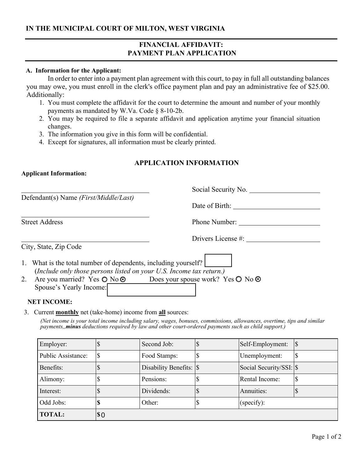# **IN THE MUNICIPAL COURT OF MILTON, WEST VIRGINIA**

## **FINANCIAL AFFIDAVIT: PAYMENT PLAN APPLICATION**

#### **A. Information for the Applicant:**

In order to enter into a payment plan agreement with this court, to pay in full all outstanding balances you may owe, you must enroll in the clerk's office payment plan and pay an administrative fee of \$25.00. Additionally:

- 1. You must complete the affidavit for the court to determine the amount and number of your monthly payments as mandated by W.Va. Code § 8-10-2b.
- 2. You may be required to file a separate affidavit and application anytime your financial situation changes.
- 3. The information you give in this form will be confidential.
- 4. Except for signatures, all information must be clearly printed.

### **APPLICATION INFORMATION**

### **Applicant Information:**

|                                                                                                                                       | Social Security No. |
|---------------------------------------------------------------------------------------------------------------------------------------|---------------------|
| Defendant(s) Name ( <i>First/Middle/Last</i> )                                                                                        |                     |
|                                                                                                                                       | Date of Birth:      |
| <b>Street Address</b>                                                                                                                 | Phone Number:       |
|                                                                                                                                       | Drivers License #:  |
| City, State, Zip Code                                                                                                                 |                     |
| 1. What is the total number of dependents, including yourself?<br>(Include only those persons listed on your U.S. Income tax return.) |                     |
| Are you married? Yes $\odot$ No $\odot$ Does your spouse work? Yes $\odot$ No $\odot$<br>2.<br>Spouse's Yearly Income:                |                     |

#### **NET INCOME:**

3. Current **monthly** net (take-home) income from **all** sources:

*(Net income is your total income including salary, wages, bonuses, commissions, allowances, overtime, tips and similar payments,,minus deductions required by law and other court-ordered payments such as child support.)*

| Employer:          |     | Second Job:            | Self-Employment:         |   |
|--------------------|-----|------------------------|--------------------------|---|
| Public Assistance: |     | Food Stamps:           | Unemployment:            | Φ |
| Benefits:          |     | Disability Benefits: S | Social Security/SSI: \\$ |   |
| Alimony:           |     | Pensions:              | Rental Income:           |   |
| Interest:          |     | Dividends:             | Annuities:               |   |
| Odd Jobs:          |     | Other:                 | (specify):               |   |
| <b>TOTAL:</b>      | \$0 |                        |                          |   |

 $\overline{\mathbb{R}}$ 

÷